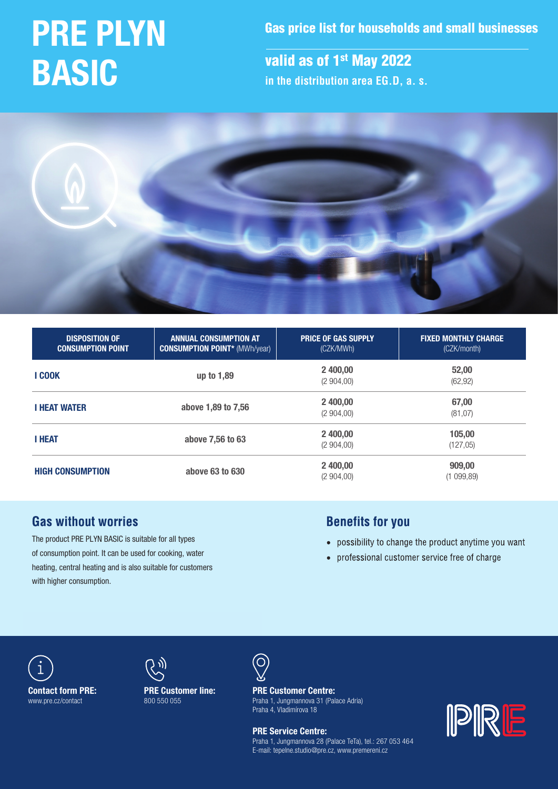# PRE PLYN BASIC

Gas price list for households and small businesses

valid as of 1<sup>st</sup> May 2022 **in the distribution area EG.D, a. s.**



| <b>DISPOSITION OF</b><br><b>CONSUMPTION POINT</b> | <b>ANNUAL CONSUMPTION AT</b><br><b>CONSUMPTION POINT* (MWh/year)</b> | <b>PRICE OF GAS SUPPLY</b><br>(CZK/MWh) | <b>FIXED MONTHLY CHARGE</b><br>(CZK/month) |  |
|---------------------------------------------------|----------------------------------------------------------------------|-----------------------------------------|--------------------------------------------|--|
| <b>I COOK</b>                                     | up to 1,89                                                           | 2 400,00<br>(2904,00)                   | 52,00<br>(62, 92)                          |  |
| <b>I HEAT WATER</b>                               | above 1,89 to 7,56                                                   | 2 400.00<br>(2904,00)                   | 67,00<br>(81, 07)                          |  |
| <b>I HEAT</b>                                     | above 7,56 to 63                                                     | 2 400,00<br>(2904,00)                   | 105,00<br>(127,05)                         |  |
| <b>HIGH CONSUMPTION</b>                           | above 63 to 630                                                      | 2 400,00<br>(2904,00)                   | 909,00<br>(1 099,89)                       |  |

# **Gas without worries**

The product PRE PLYN BASIC is suitable for all types of consumption point. It can be used for cooking, water heating, central heating and is also suitable for customers with higher consumption.

# **Benefits for you**

- possibility to change the product anytime you want
- professional customer service free of charge





PRE Customer line: 800 550 055



Praha 4, Vladimírova 18  $\frac{1}{2}$  and  $\frac{1}{2}$  and  $\frac{1}{2}$  and  $\frac{1}{2}$  and  $\frac{1}{2}$  and  $\frac{1}{2}$  and  $\frac{1}{2}$  and  $\frac{1}{2}$  and  $\frac{1}{2}$  and  $\frac{1}{2}$  and  $\frac{1}{2}$  and  $\frac{1}{2}$  and  $\frac{1}{2}$  and  $\frac{1}{2}$  and  $\frac{1}{2}$  and  $\frac{1}{2}$  a PRE Customer Centre: Praha 1, Jungmannova 31 (Palace Adria)

**Tel.: 800 500 550 500 550 500 550 500 550 500 500 500 500 500 500 500 500 500 500 500 500 500 500 500 500 500 500 500 500 500 500 500 500 500 500 500 500 500 500 500 500 500 500 500 500 500 500 500 500 500 500 500 500 500** 0QFOJOHIPVST: .Po–'s Fialla I, Jul<br>Po–'s Praha 4, Vladimírova 18 Praha 1, Jungmannova 28 (Palace TeTa), tel.: 267 053 464 E-mail: tepelne.studio@pre.cz, www.premereni.cz